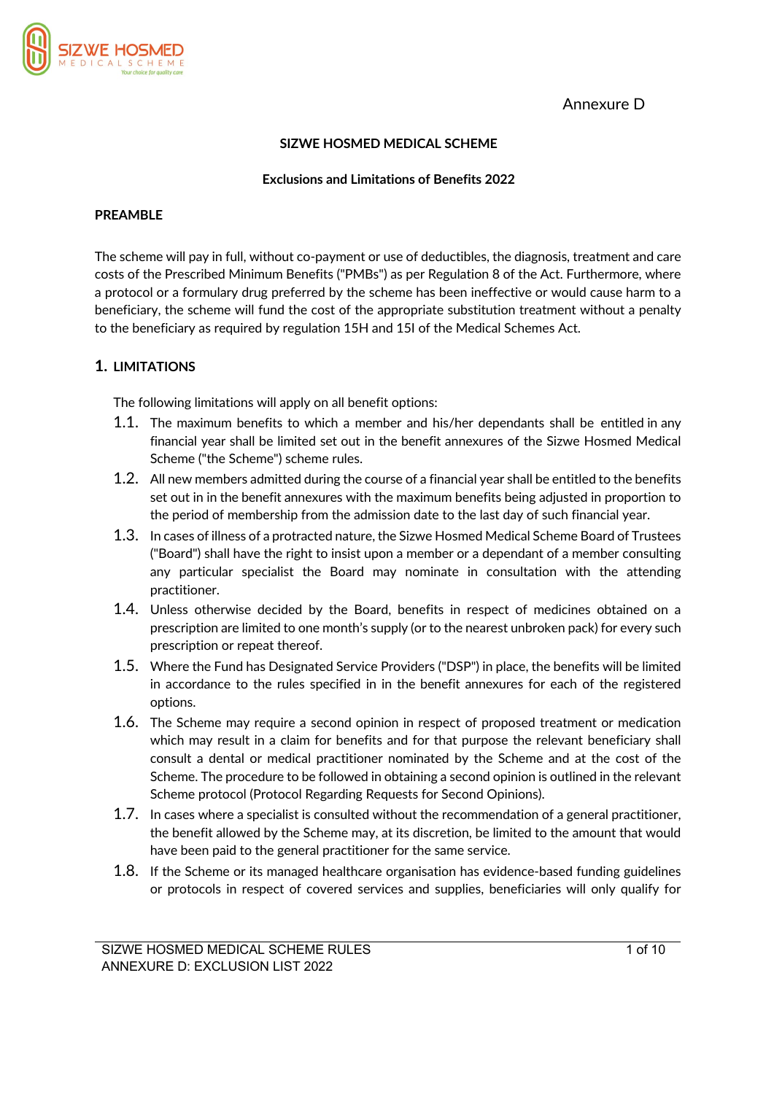Annexure D



## **SIZWE HOSMED MEDICAL SCHEME**

#### **Exclusions and Limitations of Benefits 2022**

#### **PREAMBLE**

The scheme will pay in full, without co-payment or use of deductibles, the diagnosis, treatment and care costs of the Prescribed Minimum Benefits ("PMBs") as per Regulation 8 of the Act. Furthermore, where a protocol or a formulary drug preferred by the scheme has been ineffective or would cause harm to a beneficiary, the scheme will fund the cost of the appropriate substitution treatment without a penalty to the beneficiary as required by regulation 15H and 15I of the Medical Schemes Act.

## **1. LIMITATIONS**

The following limitations will apply on all benefit options:

- 1.1. The maximum benefits to which a member and his/her dependants shall be entitled in any financial year shall be limited set out in the benefit annexures of the Sizwe Hosmed Medical Scheme ("the Scheme") scheme rules.
- 1.2. All new members admitted during the course of a financial year shall be entitled to the benefits set out in in the benefit annexures with the maximum benefits being adjusted in proportion to the period of membership from the admission date to the last day of such financial year.
- 1.3. In cases of illness of a protracted nature, the Sizwe Hosmed Medical Scheme Board of Trustees ("Board") shall have the right to insist upon a member or a dependant of a member consulting any particular specialist the Board may nominate in consultation with the attending practitioner.
- 1.4. Unless otherwise decided by the Board, benefits in respect of medicines obtained on a prescription are limited to one month's supply (or to the nearest unbroken pack) for every such prescription or repeat thereof.
- 1.5. Where the Fund has Designated Service Providers ("DSP") in place, the benefits will be limited in accordance to the rules specified in in the benefit annexures for each of the registered options.
- 1.6. The Scheme may require a second opinion in respect of proposed treatment or medication which may result in a claim for benefits and for that purpose the relevant beneficiary shall consult a dental or medical practitioner nominated by the Scheme and at the cost of the Scheme. The procedure to be followed in obtaining a second opinion is outlined in the relevant Scheme protocol (Protocol Regarding Requests for Second Opinions).
- 1.7. In cases where a specialist is consulted without the recommendation of a general practitioner, the benefit allowed by the Scheme may, at its discretion, be limited to the amount that would have been paid to the general practitioner for the same service.
- 1.8. If the Scheme or its managed healthcare organisation has evidence-based funding guidelines or protocols in respect of covered services and supplies, beneficiaries will only qualify for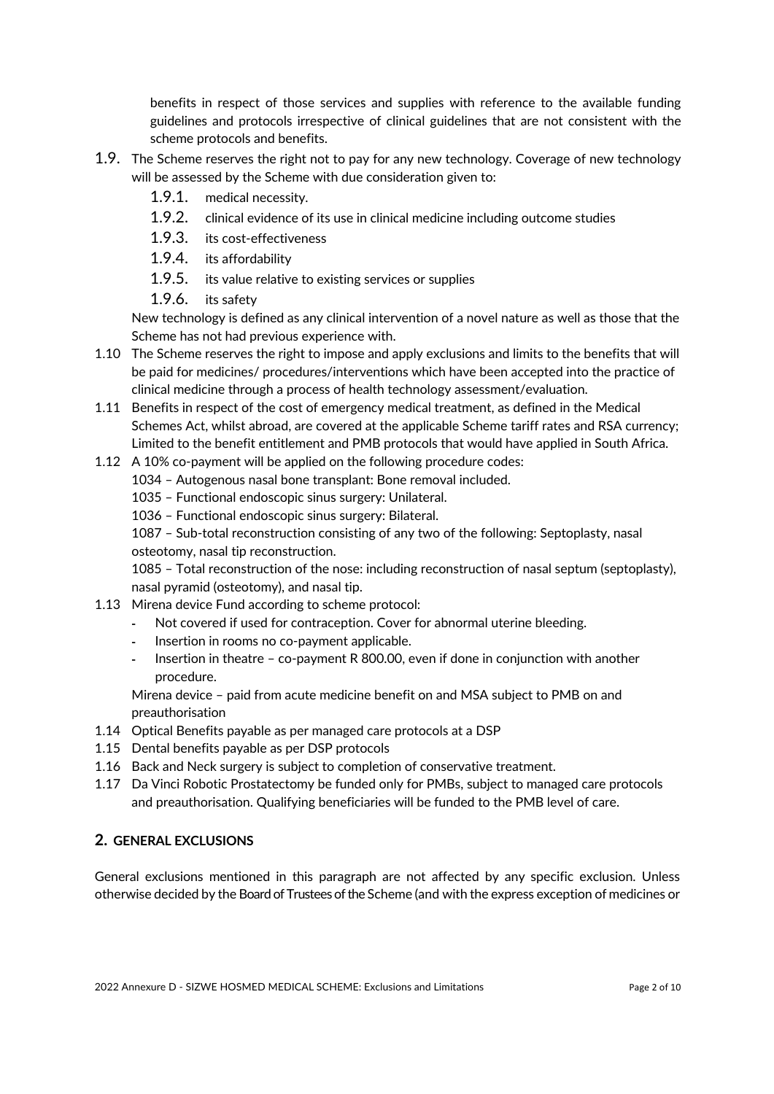benefits in respect of those services and supplies with reference to the available funding guidelines and protocols irrespective of clinical guidelines that are not consistent with the scheme protocols and benefits.

- 1.9. The Scheme reserves the right not to pay for any new technology. Coverage of new technology will be assessed by the Scheme with due consideration given to:
	- 1.9.1. medical necessity.
	- 1.9.2. clinical evidence of its use in clinical medicine including outcome studies
	- 1.9.3. its cost-effectiveness
	- 1.9.4. its affordability
	- 1.9.5. its value relative to existing services or supplies
	- 1.9.6. its safety

New technology is defined as any clinical intervention of a novel nature as well as those that the Scheme has not had previous experience with.

- 1.10 The Scheme reserves the right to impose and apply exclusions and limits to the benefits that will be paid for medicines/ procedures/interventions which have been accepted into the practice of clinical medicine through a process of health technology assessment/evaluation.
- 1.11 Benefits in respect of the cost of emergency medical treatment, as defined in the Medical Schemes Act, whilst abroad, are covered at the applicable Scheme tariff rates and RSA currency; Limited to the benefit entitlement and PMB protocols that would have applied in South Africa.
- 1.12 A 10% co-payment will be applied on the following procedure codes:
	- 1034 Autogenous nasal bone transplant: Bone removal included.
	- 1035 Functional endoscopic sinus surgery: Unilateral.
	- 1036 Functional endoscopic sinus surgery: Bilateral.

1087 – Sub-total reconstruction consisting of any two of the following: Septoplasty, nasal osteotomy, nasal tip reconstruction.

1085 – Total reconstruction of the nose: including reconstruction of nasal septum (septoplasty), nasal pyramid (osteotomy), and nasal tip.

- 1.13 Mirena device Fund according to scheme protocol:
	- Not covered if used for contraception. Cover for abnormal uterine bleeding.
	- Insertion in rooms no co-payment applicable.
	- Insertion in theatre co-payment R 800.00, even if done in conjunction with another procedure.

Mirena device – paid from acute medicine benefit on and MSA subject to PMB on and preauthorisation

- 1.14 Optical Benefits payable as per managed care protocols at a DSP
- 1.15 Dental benefits payable as per DSP protocols
- 1.16 Back and Neck surgery is subject to completion of conservative treatment.
- 1.17 Da Vinci Robotic Prostatectomy be funded only for PMBs, subject to managed care protocols and preauthorisation. Qualifying beneficiaries will be funded to the PMB level of care.

## **2. GENERAL EXCLUSIONS**

General exclusions mentioned in this paragraph are not affected by any specific exclusion. Unless otherwise decided by the Board of Trustees of the Scheme (and with the express exception of medicines or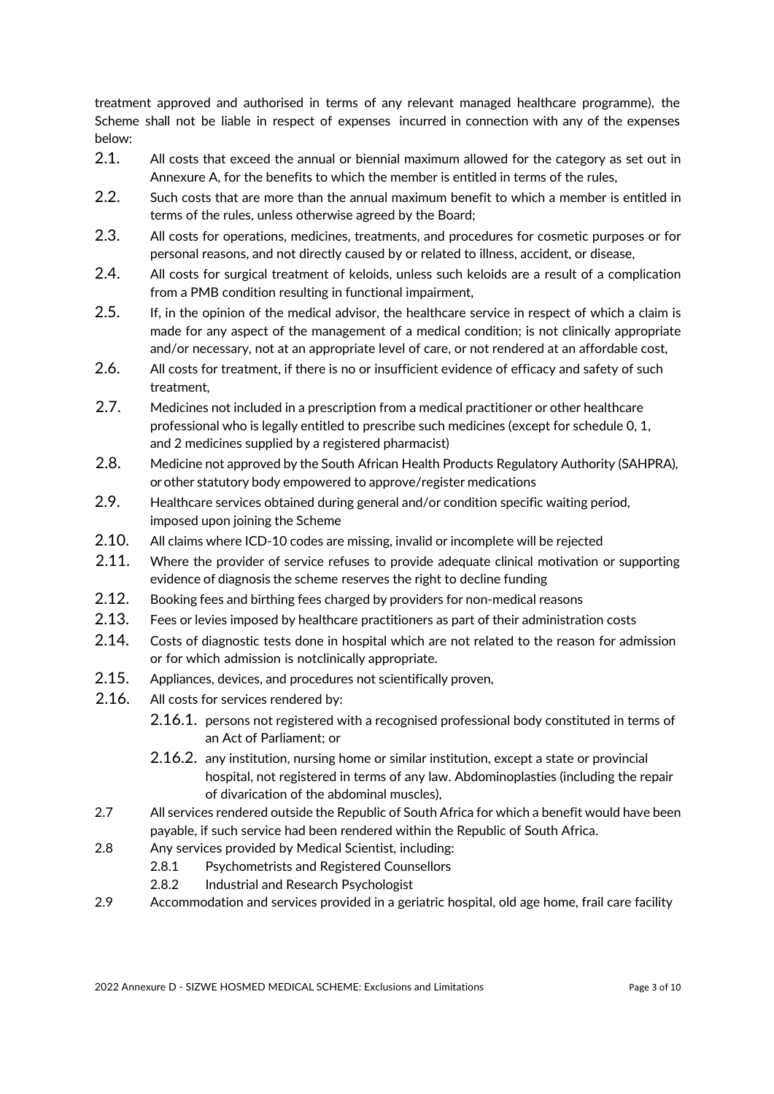treatment approved and authorised in terms of any relevant managed healthcare programme), the Scheme shall not be liable in respect of expenses incurred in connection with any of the expenses below:

- 2.1. All costs that exceed the annual or biennial maximum allowed for the category as set out in Annexure A, for the benefits to which the member is entitled in terms of the rules,
- 2.2. Such costs that are more than the annual maximum benefit to which a member is entitled in terms of the rules, unless otherwise agreed by the Board;
- 2.3. All costs for operations, medicines, treatments, and procedures for cosmetic purposes or for personal reasons, and not directly caused by or related to illness, accident, or disease,
- 2.4. All costs for surgical treatment of keloids, unless such keloids are a result of a complication from a PMB condition resulting in functional impairment,
- 2.5. If, in the opinion of the medical advisor, the healthcare service in respect of which a claim is made for any aspect of the management of a medical condition; is not clinically appropriate and/or necessary, not at an appropriate level of care, or not rendered at an affordable cost,
- 2.6. All costs for treatment, if there is no or insufficient evidence of efficacy and safety of such treatment,
- 2.7. Medicines not included in a prescription from a medical practitioner or other healthcare professional who is legally entitled to prescribe such medicines (except for schedule 0, 1, and 2 medicines supplied by a registered pharmacist)
- 2.8. Medicine not approved by the South African Health Products Regulatory Authority (SAHPRA), or other statutory body empowered to approve/register medications
- 2.9. Healthcare services obtained during general and/or condition specific waiting period, imposed upon joining the Scheme
- 2.10. All claims where ICD-10 codes are missing, invalid or incomplete will be rejected
- 2.11. Where the provider of service refuses to provide adequate clinical motivation or supporting evidence of diagnosis the scheme reserves the right to decline funding
- 2.12. Booking fees and birthing fees charged by providers for non-medical reasons
- 2.13. Fees or levies imposed by healthcare practitioners as part of their administration costs
- 2.14. Costs of diagnostic tests done in hospital which are not related to the reason for admission or for which admission is notclinically appropriate.
- 2.15. Appliances, devices, and procedures not scientifically proven,
- 2.16. All costs for services rendered by:
	- 2.16.1. persons not registered with a recognised professional body constituted in terms of an Act of Parliament; or
	- 2.16.2. any institution, nursing home or similar institution, except a state or provincial hospital, not registered in terms of any law. Abdominoplasties (including the repair of divarication of the abdominal muscles),
- 2.7 All services rendered outside the Republic of South Africa for which a benefit would have been payable, if such service had been rendered within the Republic of South Africa.
- 2.8 Any services provided by Medical Scientist, including:
	- 2.8.1 Psychometrists and Registered Counsellors
	- 2.8.2 Industrial and Research Psychologist
- 2.9 Accommodation and services provided in a geriatric hospital, old age home, frail care facility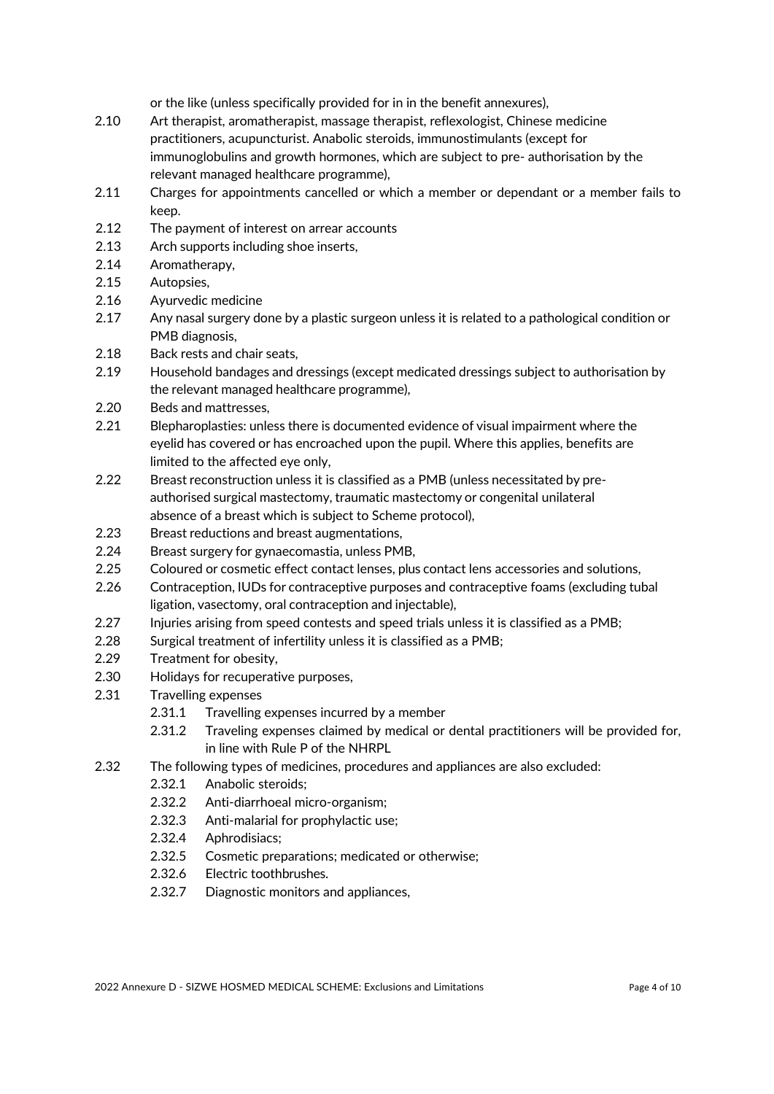or the like (unless specifically provided for in in the benefit annexures),

- 2.10 Art therapist, aromatherapist, massage therapist, reflexologist, Chinese medicine practitioners, acupuncturist. Anabolic steroids, immunostimulants (except for immunoglobulins and growth hormones, which are subject to pre- authorisation by the relevant managed healthcare programme),
- 2.11 Charges for appointments cancelled or which a member or dependant or a member fails to keep.
- 2.12 The payment of interest on arrear accounts
- 2.13 Arch supports including shoe inserts,
- 2.14 Aromatherapy,
- 2.15 Autopsies,
- 2.16 Ayurvedic medicine
- 2.17 Any nasal surgery done by a plastic surgeon unless it is related to a pathological condition or PMB diagnosis,
- 2.18 Back rests and chair seats,
- 2.19 Household bandages and dressings (except medicated dressings subject to authorisation by the relevant managed healthcare programme),
- 2.20 Beds and mattresses,
- 2.21 Blepharoplasties: unless there is documented evidence of visual impairment where the eyelid has covered or has encroached upon the pupil. Where this applies, benefits are limited to the affected eye only,
- 2.22 Breast reconstruction unless it is classified as a PMB (unless necessitated by preauthorised surgical mastectomy, traumatic mastectomy or congenital unilateral absence of a breast which is subject to Scheme protocol),
- 2.23 Breast reductions and breast augmentations,
- 2.24 Breast surgery for gynaecomastia, unless PMB,
- 2.25 Coloured or cosmetic effect contact lenses, plus contact lens accessories and solutions,
- 2.26 Contraception, IUDs for contraceptive purposes and contraceptive foams (excluding tubal ligation, vasectomy, oral contraception and injectable),
- 2.27 Injuries arising from speed contests and speed trials unless it is classified as a PMB;
- 2.28 Surgical treatment of infertility unless it is classified as a PMB;
- 2.29 Treatment for obesity,
- 2.30 Holidays for recuperative purposes,
- 2.31 Travelling expenses
	- 2.31.1 Travelling expenses incurred by a member
	- 2.31.2 Traveling expenses claimed by medical or dental practitioners will be provided for, in line with Rule P of the NHRPL
- 2.32 The following types of medicines, procedures and appliances are also excluded:
	- 2.32.1 Anabolic steroids;
	- 2.32.2 Anti-diarrhoeal micro-organism;
	- 2.32.3 Anti-malarial for prophylactic use;
	- 2.32.4 Aphrodisiacs;
	- 2.32.5 Cosmetic preparations; medicated or otherwise;
	- 2.32.6 Electric toothbrushes.
	- 2.32.7 Diagnostic monitors and appliances,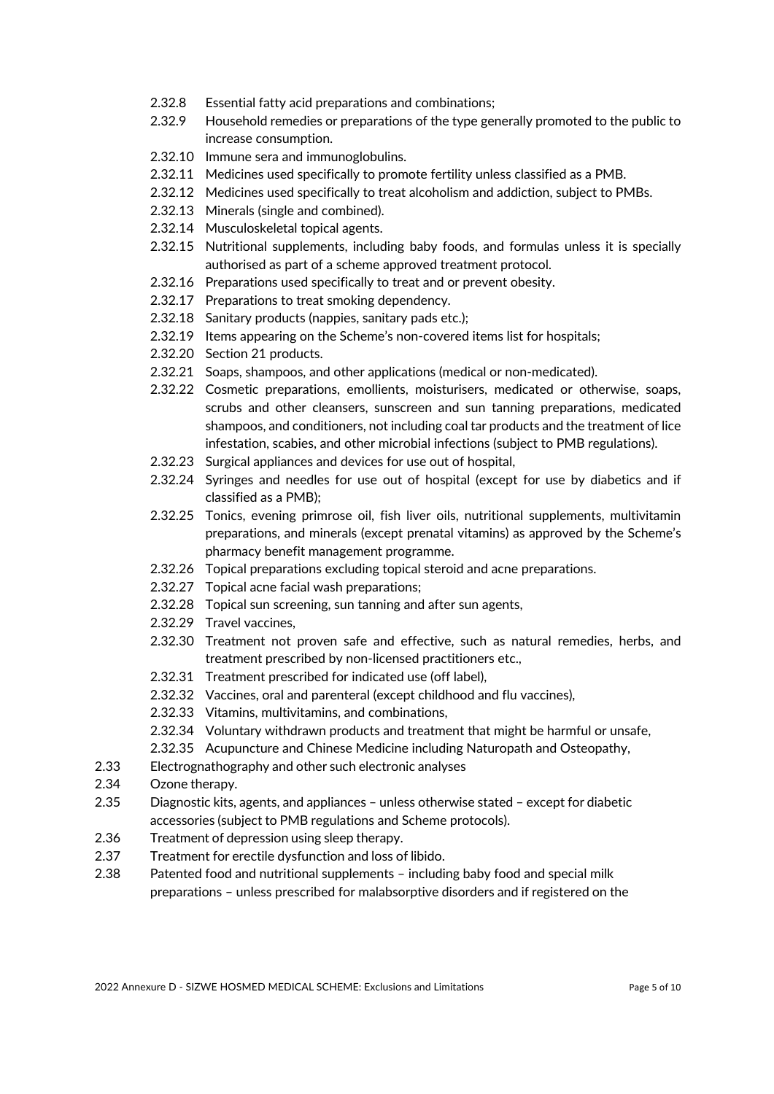- 2.32.8 Essential fatty acid preparations and combinations;
- 2.32.9 Household remedies or preparations of the type generally promoted to the public to increase consumption.
- 2.32.10 Immune sera and immunoglobulins.
- 2.32.11 Medicines used specifically to promote fertility unless classified as a PMB.
- 2.32.12 Medicines used specifically to treat alcoholism and addiction, subject to PMBs.
- 2.32.13 Minerals (single and combined).
- 2.32.14 Musculoskeletal topical agents.
- 2.32.15 Nutritional supplements, including baby foods, and formulas unless it is specially authorised as part of a scheme approved treatment protocol.
- 2.32.16 Preparations used specifically to treat and or prevent obesity.
- 2.32.17 Preparations to treat smoking dependency.
- 2.32.18 Sanitary products (nappies, sanitary pads etc.);
- 2.32.19 Items appearing on the Scheme's non-covered items list for hospitals;
- 2.32.20 Section 21 products.
- 2.32.21 Soaps, shampoos, and other applications (medical or non-medicated).
- 2.32.22 Cosmetic preparations, emollients, moisturisers, medicated or otherwise, soaps, scrubs and other cleansers, sunscreen and sun tanning preparations, medicated shampoos, and conditioners, not including coal tar products and the treatment of lice infestation, scabies, and other microbial infections (subject to PMB regulations).
- 2.32.23 Surgical appliances and devices for use out of hospital,
- 2.32.24 Syringes and needles for use out of hospital (except for use by diabetics and if classified as a PMB);
- 2.32.25 Tonics, evening primrose oil, fish liver oils, nutritional supplements, multivitamin preparations, and minerals (except prenatal vitamins) as approved by the Scheme's pharmacy benefit management programme.
- 2.32.26 Topical preparations excluding topical steroid and acne preparations.
- 2.32.27 Topical acne facial wash preparations;
- 2.32.28 Topical sun screening, sun tanning and after sun agents,
- 2.32.29 Travel vaccines,
- 2.32.30 Treatment not proven safe and effective, such as natural remedies, herbs, and treatment prescribed by non-licensed practitioners etc.,
- 2.32.31 Treatment prescribed for indicated use (off label),
- 2.32.32 Vaccines, oral and parenteral (except childhood and flu vaccines),
- 2.32.33 Vitamins, multivitamins, and combinations,
- 2.32.34 Voluntary withdrawn products and treatment that might be harmful or unsafe,
- 2.32.35 Acupuncture and Chinese Medicine including Naturopath and Osteopathy,
- 2.33 Electrognathography and other such electronic analyses
- 2.34 Ozone therapy.
- 2.35 Diagnostic kits, agents, and appliances unless otherwise stated except for diabetic accessories (subject to PMB regulations and Scheme protocols).
- 2.36 Treatment of depression using sleep therapy.
- 2.37 Treatment for erectile dysfunction and loss of libido.
- 2.38 Patented food and nutritional supplements including baby food and special milk preparations – unless prescribed for malabsorptive disorders and if registered on the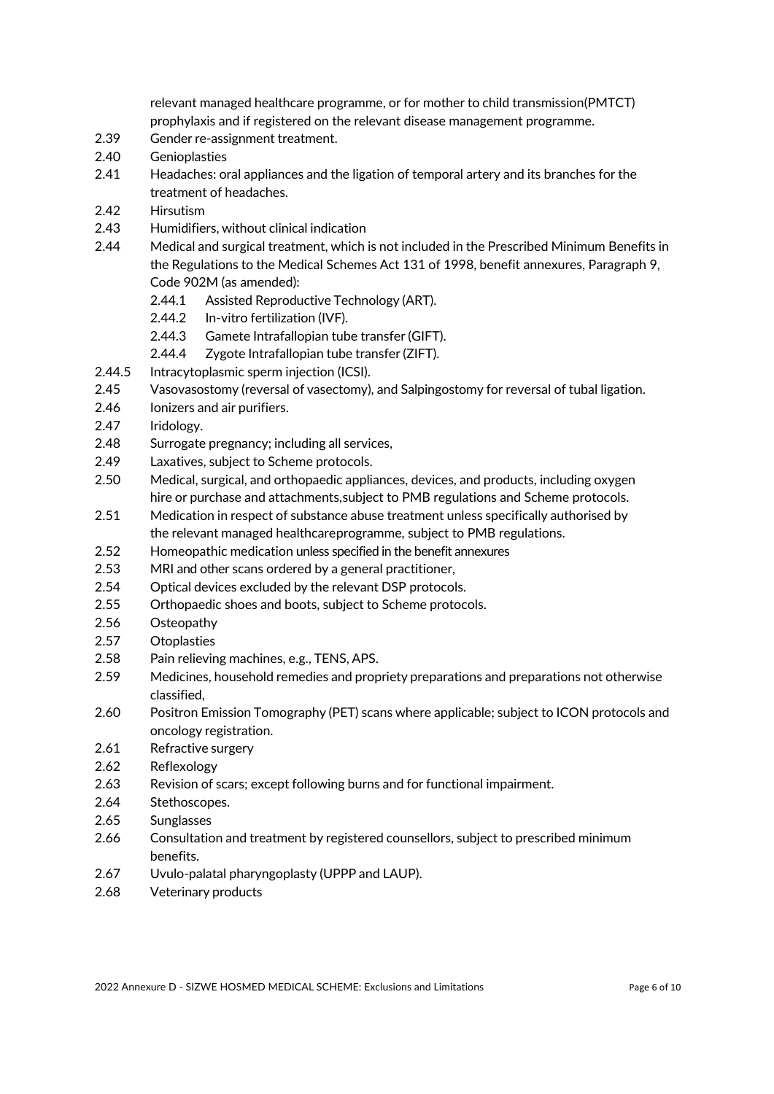relevant managed healthcare programme, or for mother to child transmission(PMTCT) prophylaxis and if registered on the relevant disease management programme.

- 2.39 Gender re-assignment treatment.
- 2.40 Genioplasties
- 2.41 Headaches: oral appliances and the ligation of temporal artery and its branches for the treatment of headaches.
- 2.42 Hirsutism
- 2.43 Humidifiers, without clinical indication
- 2.44 Medical and surgical treatment, which is not included in the Prescribed Minimum Benefits in the Regulations to the Medical Schemes Act 131 of 1998, benefit annexures, Paragraph 9, Code 902M (as amended):
	- 2.44.1 Assisted Reproductive Technology (ART).
	- 2.44.2 In-vitro fertilization (IVF).
	- 2.44.3 Gamete Intrafallopian tube transfer (GIFT).
	- 2.44.4 Zygote Intrafallopian tube transfer (ZIFT).
- 2.44.5 Intracytoplasmic sperm injection (ICSI).
- 2.45 Vasovasostomy (reversal of vasectomy), and Salpingostomy for reversal of tubal ligation.
- 2.46 Ionizers and air purifiers.
- 2.47 Iridology.
- 2.48 Surrogate pregnancy; including all services,
- 2.49 Laxatives, subject to Scheme protocols.
- 2.50 Medical, surgical, and orthopaedic appliances, devices, and products, including oxygen hire or purchase and attachments,subject to PMB regulations and Scheme protocols.
- 2.51 Medication in respect of substance abuse treatment unless specifically authorised by the relevant managed healthcareprogramme, subject to PMB regulations.
- 2.52 Homeopathic medication unless specified in the benefit annexures
- 2.53 MRI and other scans ordered by a general practitioner,
- 2.54 Optical devices excluded by the relevant DSP protocols.
- 2.55 Orthopaedic shoes and boots, subject to Scheme protocols.
- 2.56 Osteopathy
- 2.57 Otoplasties
- 2.58 Pain relieving machines, e.g., TENS, APS.
- 2.59 Medicines, household remedies and propriety preparations and preparations not otherwise classified,
- 2.60 Positron Emission Tomography (PET) scans where applicable; subject to ICON protocols and oncology registration.
- 2.61 Refractive surgery
- 2.62 Reflexology
- 2.63 Revision of scars; except following burns and for functional impairment.
- 2.64 Stethoscopes.
- 2.65 Sunglasses
- 2.66 Consultation and treatment by registered counsellors, subject to prescribed minimum benefits.
- 2.67 Uvulo-palatal pharyngoplasty (UPPP and LAUP).
- 2.68 Veterinary products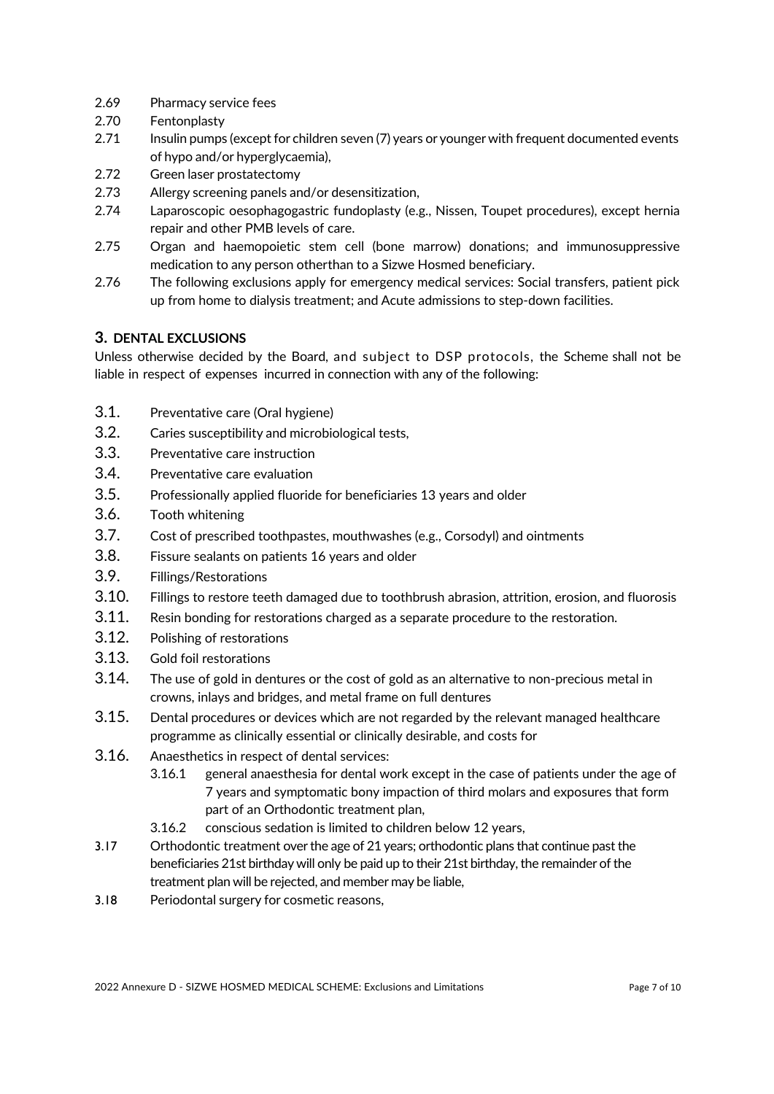- 2.69 Pharmacy service fees
- 2.70 Fentonplasty
- 2.71 Insulin pumps (except for children seven (7) years or youngerwith frequent documented events of hypo and/or hyperglycaemia),
- 2.72 Green laser prostatectomy
- 2.73 Allergy screening panels and/or desensitization,
- 2.74 Laparoscopic oesophagogastric fundoplasty (e.g., Nissen, Toupet procedures), except hernia repair and other PMB levels of care.
- 2.75 Organ and haemopoietic stem cell (bone marrow) donations; and immunosuppressive medication to any person otherthan to a Sizwe Hosmed beneficiary.
- 2.76 The following exclusions apply for emergency medical services: Social transfers, patient pick up from home to dialysis treatment; and Acute admissions to step-down facilities.

# **3. DENTAL EXCLUSIONS**

Unless otherwise decided by the Board, and subject to DSP protocols, the Scheme shall not be liable in respect of expenses incurred in connection with any of the following:

- 3.1. Preventative care (Oral hygiene)
- 3.2. Caries susceptibility and microbiological tests,
- 3.3. Preventative care instruction
- 3.4. Preventative care evaluation
- 3.5. Professionally applied fluoride for beneficiaries 13 years and older
- 3.6. Tooth whitening
- 3.7. Cost of prescribed toothpastes, mouthwashes (e.g., Corsodyl) and ointments
- 3.8. Fissure sealants on patients 16 years and older
- 3.9. Fillings/Restorations
- 3.10. Fillings to restore teeth damaged due to toothbrush abrasion, attrition, erosion, and fluorosis
- 3.11. Resin bonding for restorations charged as a separate procedure to the restoration.
- 3.12. Polishing of restorations
- 3.13. Gold foil restorations
- 3.14. The use of gold in dentures or the cost of gold as an alternative to non-precious metal in crowns, inlays and bridges, and metal frame on full dentures
- 3.15. Dental procedures or devices which are not regarded by the relevant managed healthcare programme as clinically essential or clinically desirable, and costs for
- 3.16. Anaesthetics in respect of dental services:
	- 3.16.1 general anaesthesia for dental work except in the case of patients under the age of 7 years and symptomatic bony impaction of third molars and exposures that form part of an Orthodontic treatment plan,
	- 3.16.2 conscious sedation is limited to children below 12 years,
- 3.17 Orthodontic treatment overthe age of 21 years; orthodontic plans that continue past the beneficiaries 21st birthday will only be paid up to their 21st birthday, the remainder of the treatment plan will be rejected, and member may be liable,
- 3.18 Periodontal surgery for cosmetic reasons,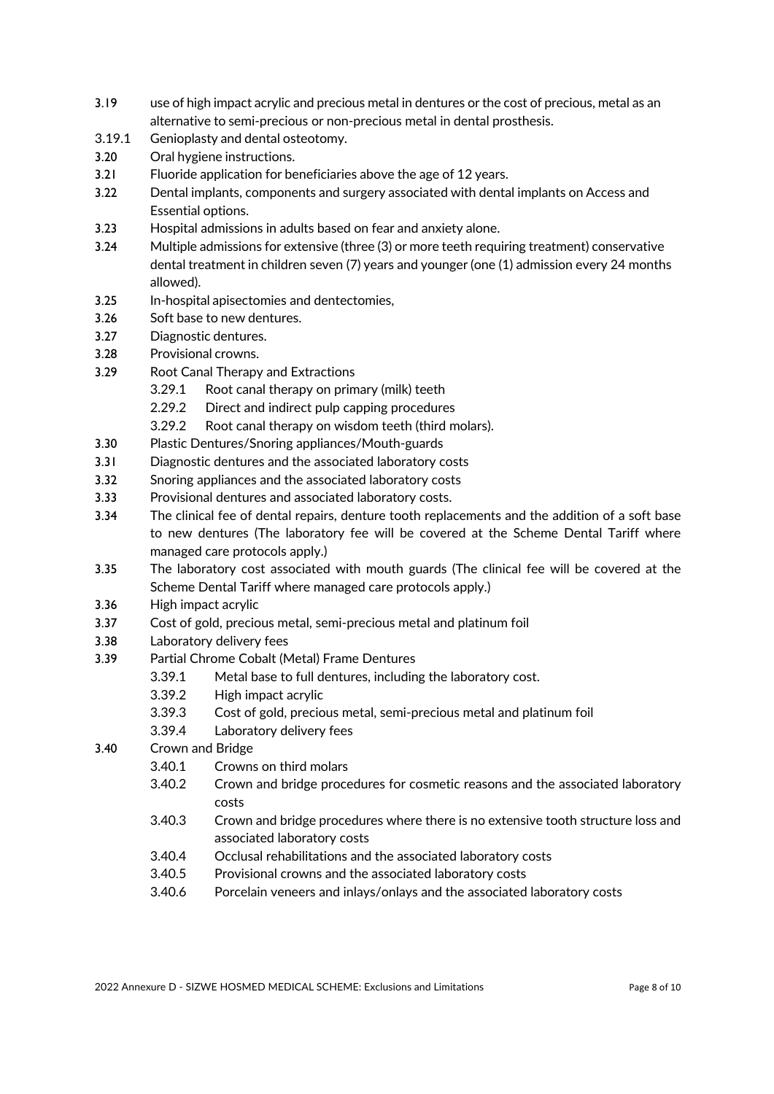- 3.19 use of high impact acrylic and precious metal in dentures or the cost of precious, metal as an alternative to semi-precious or non-precious metal in dental prosthesis.
- 3.19.1 Genioplasty and dental osteotomy.
- 3.20 Oral hygiene instructions.
- 3.21 Fluoride application for beneficiaries above the age of 12 years.
- 3.22 Dental implants, components and surgery associated with dental implants on Access and Essential options.
- 3.23 Hospital admissions in adults based on fear and anxiety alone.
- 3.24 Multiple admissions for extensive (three (3) or more teeth requiring treatment) conservative dental treatment in children seven (7) years and younger (one (1) admission every 24 months allowed).
- 3.25 In-hospital apisectomies and dentectomies,
- 3.26 Soft base to new dentures.
- 3.27 Diagnostic dentures.
- 3.28 Provisional crowns.
- 3.29 Root Canal Therapy and Extractions
	- 3.29.1 Root canal therapy on primary (milk) teeth
	- 2.29.2 Direct and indirect pulp capping procedures
	- 3.29.2 Root canal therapy on wisdom teeth (third molars).
- 3.30 Plastic Dentures/Snoring appliances/Mouth-guards
- 3.31 Diagnostic dentures and the associated laboratory costs
- 3.32 Snoring appliances and the associated laboratory costs
- 3.33 Provisional dentures and associated laboratory costs.
- 3.34 The clinical fee of dental repairs, denture tooth replacements and the addition of a soft base to new dentures (The laboratory fee will be covered at the Scheme Dental Tariff where managed care protocols apply.)
- 3.35 The laboratory cost associated with mouth guards (The clinical fee will be covered at the Scheme Dental Tariff where managed care protocols apply.)
- 3.36 High impact acrylic
- 3.37 Cost of gold, precious metal, semi-precious metal and platinum foil
- 3.38 Laboratory delivery fees
- 3.39 Partial Chrome Cobalt (Metal) Frame Dentures
	- 3.39.1 Metal base to full dentures, including the laboratory cost.
		- 3.39.2 High impact acrylic
		- 3.39.3 Cost of gold, precious metal, semi-precious metal and platinum foil
	- 3.39.4 Laboratory delivery fees
- 3.40 Crown and Bridge
	- 3.40.1 Crowns on third molars
	- 3.40.2 Crown and bridge procedures for cosmetic reasons and the associated laboratory costs
	- 3.40.3 Crown and bridge procedures where there is no extensive tooth structure loss and associated laboratory costs
	- 3.40.4 Occlusal rehabilitations and the associated laboratory costs
	- 3.40.5 Provisional crowns and the associated laboratory costs
	- 3.40.6 Porcelain veneers and inlays/onlays and the associated laboratory costs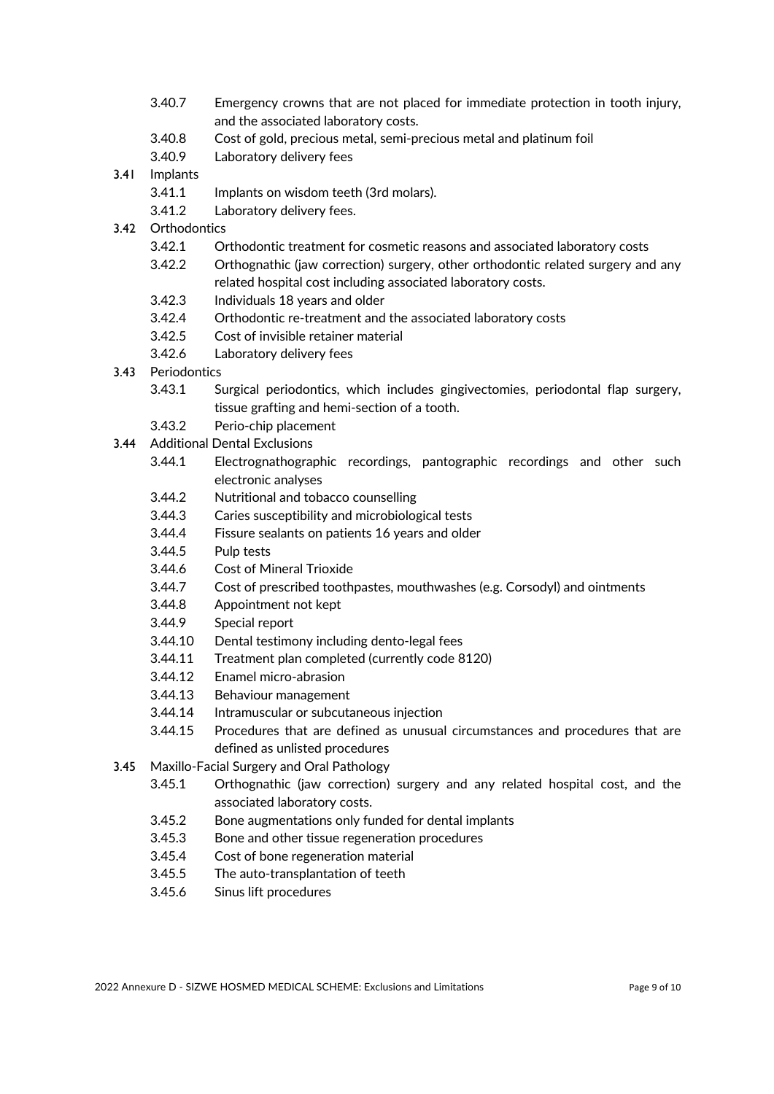- 3.40.7 Emergency crowns that are not placed for immediate protection in tooth injury, and the associated laboratory costs.
- 3.40.8 Cost of gold, precious metal, semi-precious metal and platinum foil
- 3.40.9 Laboratory delivery fees
- 3.41 Implants
	- 3.41.1 Implants on wisdom teeth (3rd molars).
	- 3.41.2 Laboratory delivery fees.
- 3.42 Orthodontics
	- 3.42.1 Orthodontic treatment for cosmetic reasons and associated laboratory costs
	- 3.42.2 Orthognathic (jaw correction) surgery, other orthodontic related surgery and any related hospital cost including associated laboratory costs.
	- 3.42.3 Individuals 18 years and older
	- 3.42.4 Orthodontic re-treatment and the associated laboratory costs
	- 3.42.5 Cost of invisible retainer material
	- 3.42.6 Laboratory delivery fees
- 3.43 Periodontics
	- 3.43.1 Surgical periodontics, which includes gingivectomies, periodontal flap surgery, tissue grafting and hemi-section of a tooth.
	- 3.43.2 Perio-chip placement
- 3.44 Additional Dental Exclusions
	- 3.44.1 Electrognathographic recordings, pantographic recordings and other such electronic analyses
	- 3.44.2 Nutritional and tobacco counselling
	- 3.44.3 Caries susceptibility and microbiological tests
	- 3.44.4 Fissure sealants on patients 16 years and older
	- 3.44.5 Pulp tests
	- 3.44.6 Cost of Mineral Trioxide
	- 3.44.7 Cost of prescribed toothpastes, mouthwashes (e.g. Corsodyl) and ointments
	- 3.44.8 Appointment not kept
	- 3.44.9 Special report
	- 3.44.10 Dental testimony including dento-legal fees
	- 3.44.11 Treatment plan completed (currently code 8120)
	- 3.44.12 Enamel micro-abrasion
	- 3.44.13 Behaviour management
	- 3.44.14 Intramuscular or subcutaneous injection
	- 3.44.15 Procedures that are defined as unusual circumstances and procedures that are defined as unlisted procedures
- 3.45 Maxillo-Facial Surgery and Oral Pathology
	- 3.45.1 Orthognathic (jaw correction) surgery and any related hospital cost, and the associated laboratory costs.
	- 3.45.2 Bone augmentations only funded for dental implants
	- 3.45.3 Bone and other tissue regeneration procedures
	- 3.45.4 Cost of bone regeneration material
	- 3.45.5 The auto-transplantation of teeth
	- 3.45.6 Sinus lift procedures